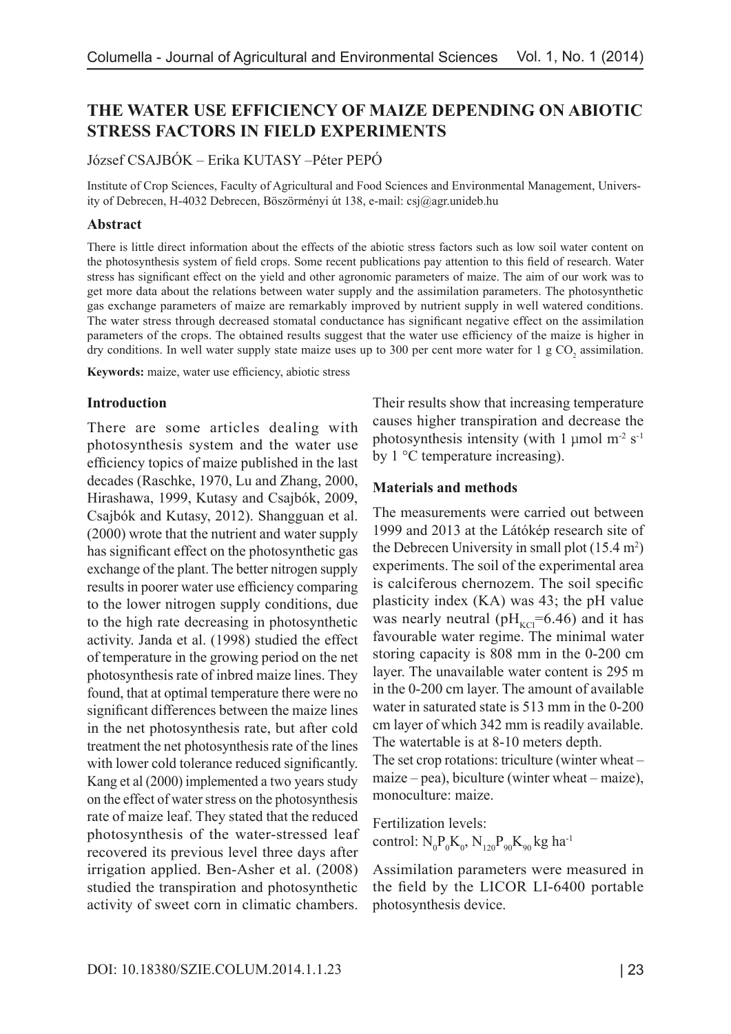# **THE WATER USE EFFICIENCY OF MAIZE DEPENDING ON ABIOTIC STRESS FACTORS IN FIELD EXPERIMENTS**

József CSAJBÓK – Erika KUTASY –Péter PEPÓ

Institute of Crop Sciences, Faculty of Agricultural and Food Sciences and Environmental Management, University of Debrecen, H-4032 Debrecen, Böszörményi út 138, e-mail: csj@agr.unideb.hu

## **Abstract**

There is little direct information about the effects of the abiotic stress factors such as low soil water content on the photosynthesis system of field crops. Some recent publications pay attention to this field of research. Water stress has significant effect on the yield and other agronomic parameters of maize. The aim of our work was to get more data about the relations between water supply and the assimilation parameters. The photosynthetic gas exchange parameters of maize are remarkably improved by nutrient supply in well watered conditions. The water stress through decreased stomatal conductance has significant negative effect on the assimilation parameters of the crops. The obtained results suggest that the water use efficiency of the maize is higher in dry conditions. In well water supply state maize uses up to 300 per cent more water for 1  $\rm g CO_2$  assimilation.

**Keywords:** maize, water use efficiency, abiotic stress

## **Introduction**

There are some articles dealing with photosynthesis system and the water use efficiency topics of maize published in the last decades (Raschke, 1970, Lu and Zhang, 2000, Hirashawa, 1999, Kutasy and Csajbók, 2009, Csajbók and Kutasy, 2012). Shangguan et al. (2000) wrote that the nutrient and water supply has significant effect on the photosynthetic gas exchange of the plant. The better nitrogen supply results in poorer water use efficiency comparing to the lower nitrogen supply conditions, due to the high rate decreasing in photosynthetic activity. Janda et al. (1998) studied the effect of temperature in the growing period on the net photosynthesis rate of inbred maize lines. They found, that at optimal temperature there were no significant differences between the maize lines in the net photosynthesis rate, but after cold treatment the net photosynthesis rate of the lines with lower cold tolerance reduced significantly. Kang et al (2000) implemented a two years study on the effect of water stress on the photosynthesis rate of maize leaf. They stated that the reduced photosynthesis of the water-stressed leaf recovered its previous level three days after irrigation applied. Ben-Asher et al. (2008) studied the transpiration and photosynthetic activity of sweet corn in climatic chambers.

Their results show that increasing temperature causes higher transpiration and decrease the photosynthesis intensity (with 1  $\mu$ mol m<sup>-2</sup> s<sup>-1</sup> by 1 °C temperature increasing).

## **Materials and methods**

The measurements were carried out between 1999 and 2013 at the Látókép research site of the Debrecen University in small plot  $(15.4 \text{ m}^2)$ experiments. The soil of the experimental area is calciferous chernozem. The soil specific plasticity index (KA) was 43; the pH value was nearly neutral ( $pH_{KCl}$ =6.46) and it has favourable water regime. The minimal water storing capacity is 808 mm in the 0-200 cm layer. The unavailable water content is 295 m in the 0-200 cm layer. The amount of available water in saturated state is 513 mm in the 0-200 cm layer of which 342 mm is readily available. The watertable is at 8-10 meters depth. The set crop rotations: triculture (winter wheat –

maize – pea), biculture (winter wheat – maize), monoculture: maize.

Fertilization levels: control:  $N_0 P_0 K_0$ ,  $N_{120} P_{90} K_{90}$  kg ha<sup>-1</sup>

Assimilation parameters were measured in the field by the LICOR LI-6400 portable photosynthesis device.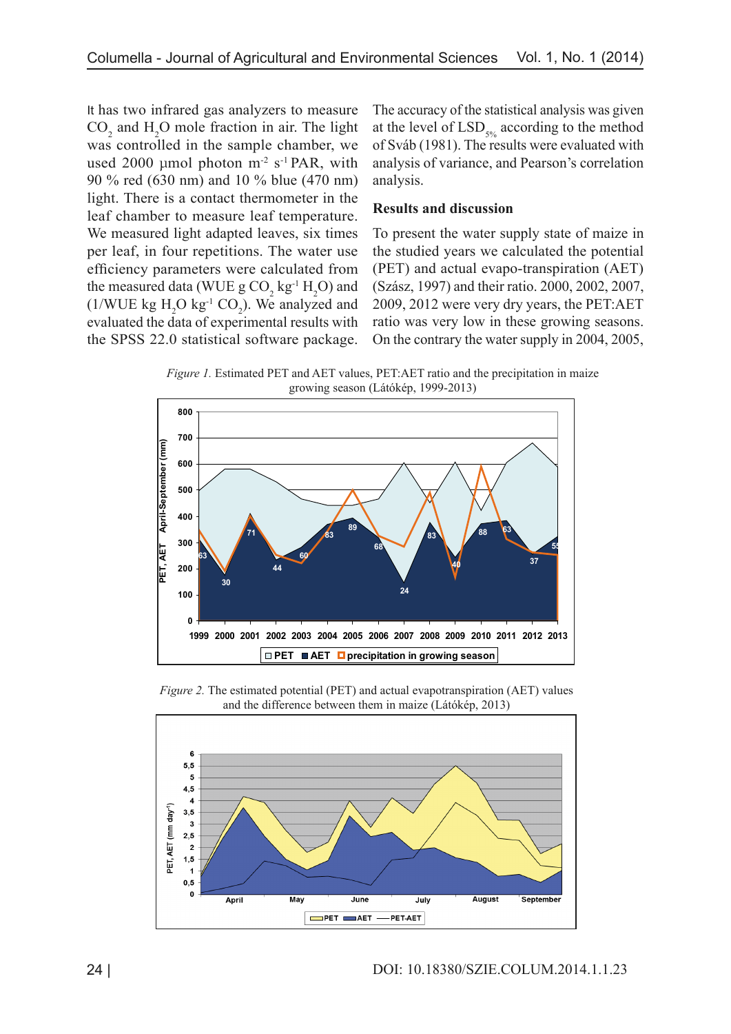It has two infrared gas analyzers to measure  $CO<sub>2</sub>$  and H<sub>2</sub>O mole fraction in air. The light was controlled in the sample chamber, we used 2000 µmol photon  $m<sup>-2</sup>$  s<sup>-1</sup> PAR, with 90 % red (630 nm) and 10 % blue (470 nm) light. There is a contact thermometer in the leaf chamber to measure leaf temperature. We measured light adapted leaves, six times per leaf, in four repetitions. The water use efficiency parameters were calculated from the measured data (WUE  $g \text{CO}_2$  kg<sup>-1</sup>  $H_2\text{O}$ ) and  $(1/\text{WUE kg H}_2\text{O kg}^{-1} \text{ CO}_2)$ . We analyzed and evaluated the data of experimental results with the SPSS 22.0 statistical software package.

The accuracy of the statistical analysis was given at the level of  $LSD<sub>506</sub>$  according to the method of Sváb (1981). The results were evaluated with analysis of variance, and Pearson's correlation analysis.

# **Results and discussion**

To present the water supply state of maize in the studied years we calculated the potential (PET) and actual evapo-transpiration (AET) (Szász, 1997) and their ratio. 2000, 2002, 2007, 2009, 2012 were very dry years, the PET:AET ratio was very low in these growing seasons. On the contrary the water supply in 2004, 2005,

*Figure 1.* Estimated PET and AET values, PET:AET ratio and the precipitation in maize growing season (Látókép, 1999-2013)



*Figure 2.* The estimated potential (PET) and actual evapotranspiration (AET) values and the difference between them in maize (Látókép, 2013)

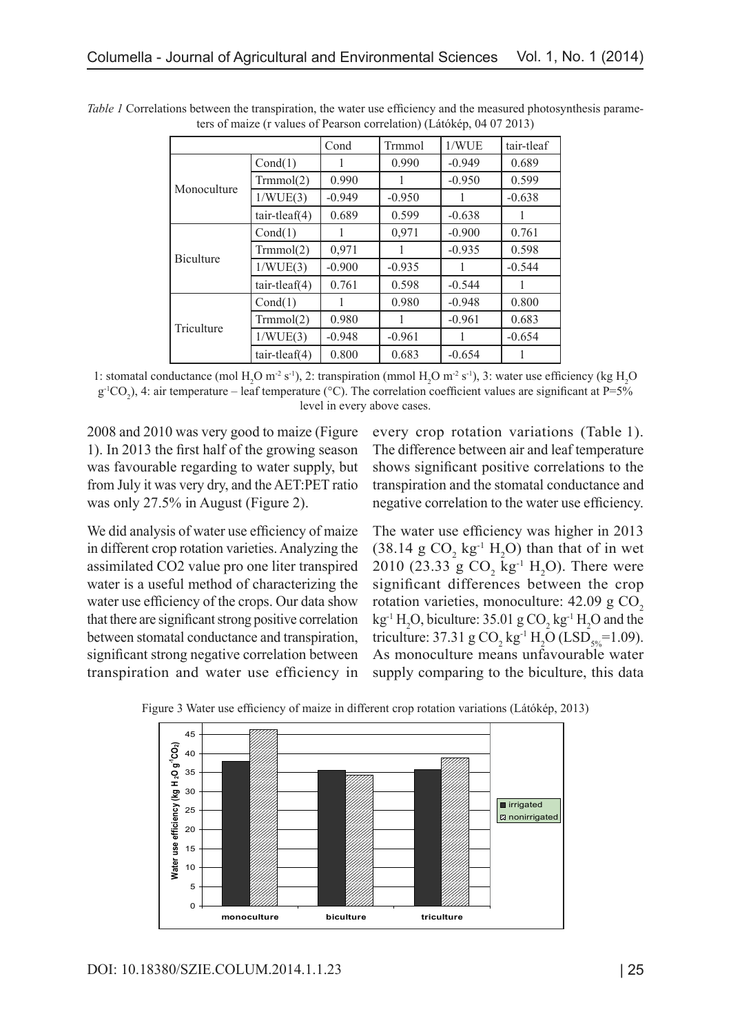|                  |                 | Cond     | <b>Trmmol</b> | 1/WUE    | tair-tleaf |
|------------------|-----------------|----------|---------------|----------|------------|
| Monoculture      | Cond(1)         |          | 0.990         | $-0.949$ | 0.689      |
|                  | Trmmol(2)       | 0.990    | 1             | $-0.950$ | 0.599      |
|                  | 1/WUE(3)        | $-0.949$ | $-0.950$      | 1        | $-0.638$   |
|                  | $tair-tleaf(4)$ | 0.689    | 0.599         | $-0.638$ |            |
| <b>Biculture</b> | Cond(1)         |          | 0,971         | $-0.900$ | 0.761      |
|                  | Trmmol(2)       | 0,971    |               | $-0.935$ | 0.598      |
|                  | 1/WUE(3)        | $-0.900$ | $-0.935$      | 1        | $-0.544$   |
|                  | $tair-tleaf(4)$ | 0.761    | 0.598         | $-0.544$ |            |
| Triculture       | Cond(1)         |          | 0.980         | $-0.948$ | 0.800      |
|                  | Trmmol(2)       | 0.980    | 1             | $-0.961$ | 0.683      |
|                  | 1/WUE(3)        | $-0.948$ | $-0.961$      |          | $-0.654$   |
|                  | $tair-tleaf(4)$ | 0.800    | 0.683         | $-0.654$ |            |

*Table 1* Correlations between the transpiration, the water use efficiency and the measured photosynthesis parameters of maize (r values of Pearson correlation) (Látókép, 04 07 2013)

1: stomatal conductance (mol  $H_2O$  m<sup>-2</sup> s<sup>-1</sup>), 2: transpiration (mmol  $H_2O$  m<sup>-2</sup> s<sup>-1</sup>), 3: water use efficiency (kg  $H_2O$  $g^{-1}CO_2$ ), 4: air temperature – leaf temperature (°C). The correlation coefficient values are significant at P=5% level in every above cases.

2008 and 2010 was very good to maize (Figure 1). In 2013 the first half of the growing season was favourable regarding to water supply, but from July it was very dry, and the AET:PET ratio was only 27.5% in August (Figure 2).

every crop rotation variations (Table 1). The difference between air and leaf temperature shows significant positive correlations to the transpiration and the stomatal conductance and negative correlation to the water use efficiency.

We did analysis of water use efficiency of maize in different crop rotation varieties. Analyzing the assimilated CO2 value pro one liter transpired water is a useful method of characterizing the water use efficiency of the crops. Our data show that there are significant strong positive correlation between stomatal conductance and transpiration, significant strong negative correlation between transpiration and water use efficiency in The water use efficiency was higher in 2013  $(38.14 \text{ g } CO<sub>2</sub> \text{ kg}^{-1} \text{ H}<sub>2</sub>O)$  than that of in wet 2010 (23.33 g  $CO_2$  kg<sup>-1</sup> H<sub>2</sub>O). There were significant differences between the crop rotation varieties, monoculture:  $42.09 \text{ g } CO<sub>2</sub>$  $kg^{-1}H_2O$ , biculture: 35.01 g  $CO_2$  kg<sup>-1</sup>  $H_2O$  and the triculture: 37.31 g CO<sub>2</sub> kg<sup>-1</sup> H<sub>2</sub>O (LSD<sub>5%</sub>=1.09). As monoculture means unfavourable water supply comparing to the biculture, this data



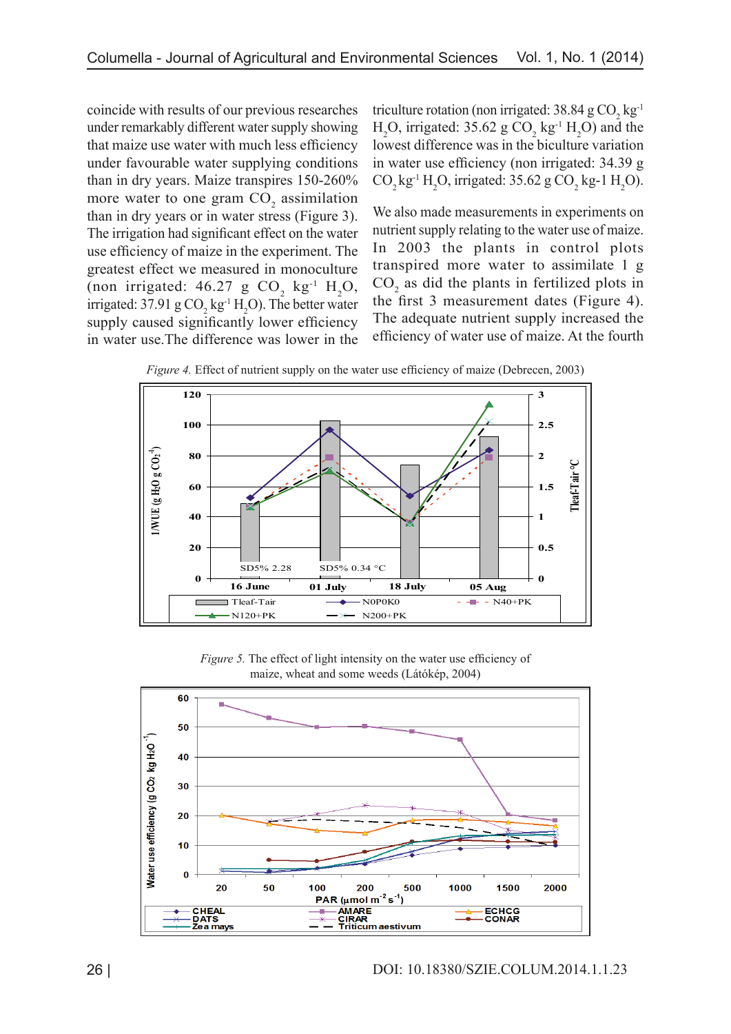coincide with results of our previous researches under remarkably different water supply showing that maize use water with much less efficiency under favourable water supplying conditions than in dry years. Maize transpires 150-260% more water to one gram  $CO<sub>2</sub>$  assimilation than in dry years or in water stress (Figure 3). The irrigation had significant effect on the water use efficiency of maize in the experiment. The greatest effect we measured in monoculture (non irrigated:  $46.27 \text{ g } CO_2$  kg<sup>-1</sup> H<sub>2</sub>O, irrigated: 37.91 g  $CO_2$  kg<sup>-1</sup> H<sub>2</sub>O). The better water supply caused significantly lower efficiency in water use.The difference was lower in the

triculture rotation (non irrigated: 38.84 g  $CO_2$  kg<sup>-1</sup>  $H_2O$ , irrigated: 35.62 g  $CO_2$  kg<sup>-1</sup>  $H_2O$ ) and the lowest difference was in the biculture variation in water use efficiency (non irrigated: 34.39 g  $CO_2$  kg<sup>-1</sup> H<sub>2</sub>O, irrigated: 35.62 g CO<sub>2</sub> kg-1 H<sub>2</sub>O).

We also made measurements in experiments on nutrient supply relating to the water use of maize. In 2003 the plants in control plots transpired more water to assimilate 1 g  $CO<sub>2</sub>$  as did the plants in fertilized plots in the first 3 measurement dates (Figure 4). The adequate nutrient supply increased the efficiency of water use of maize. At the fourth

*Figure 4.* Effect of nutrient supply on the water use efficiency of maize (Debrecen, 2003)



*Figure 5.* The effect of light intensity on the water use efficiency of maize, wheat and some weeds (Látókép, 2004)

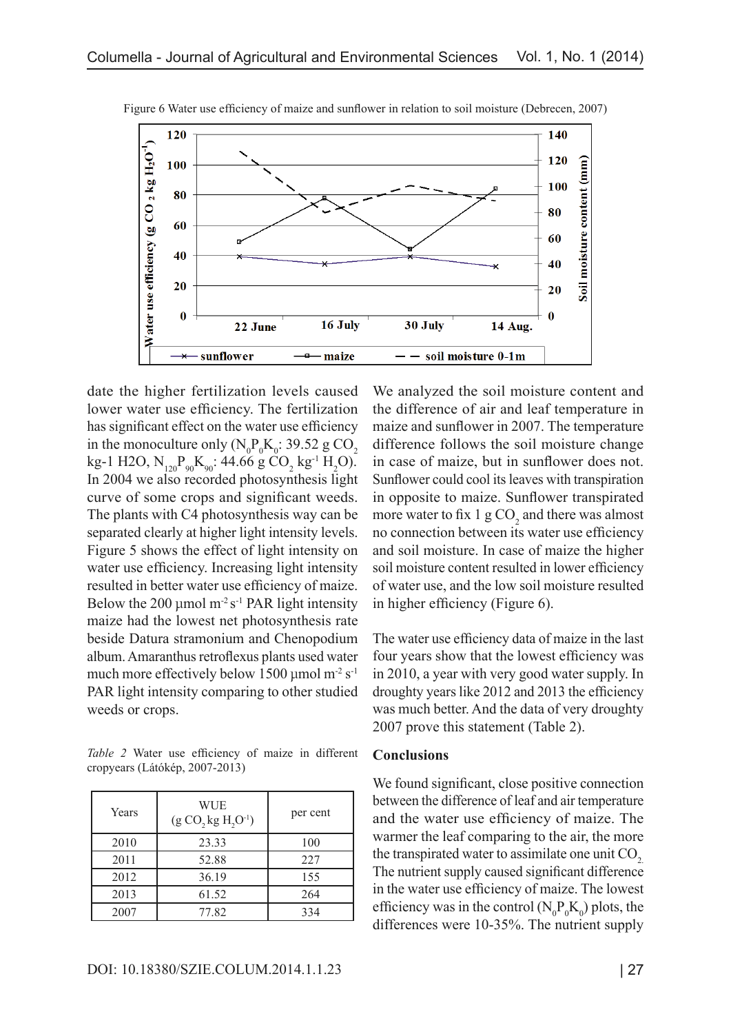

Figure 6 Water use efficiency of maize and sunflower in relation to soil moisture (Debrecen, 2007)

date the higher fertilization levels caused lower water use efficiency. The fertilization has significant effect on the water use efficiency in the monoculture only  $(N_0P_0K_0: 39.52 \text{ g CO}_2)$ kg-1 H2O,  $N_{120}P_{90}K_{90}$ : 44.66 g CO<sub>2</sub> kg<sup>-1</sup> H<sub>2</sub>O). In 2004 we also recorded photosynthesis light curve of some crops and significant weeds. The plants with C4 photosynthesis way can be separated clearly at higher light intensity levels. Figure 5 shows the effect of light intensity on water use efficiency. Increasing light intensity resulted in better water use efficiency of maize. Below the 200 µmol  $m^2 s^1$  PAR light intensity maize had the lowest net photosynthesis rate beside Datura stramonium and Chenopodium album. Amaranthus retroflexus plants used water much more effectively below 1500 µmol  $m<sup>2</sup> s<sup>-1</sup>$ PAR light intensity comparing to other studied weeds or crops.

*Table 2* Water use efficiency of maize in different cropyears (Látókép, 2007-2013)

| Years | WUE<br>$(g CO, kg H, O^{-1})$ | per cent |
|-------|-------------------------------|----------|
| 2010  | 23.33                         | 100      |
| 2011  | 52.88                         | 227      |
| 2012  | 36.19                         | 155      |
| 2013  | 61.52                         | 264      |
| 2007  | 77.82                         | 334      |

We analyzed the soil moisture content and the difference of air and leaf temperature in maize and sunflower in 2007. The temperature difference follows the soil moisture change in case of maize, but in sunflower does not. Sunflower could cool its leaves with transpiration in opposite to maize. Sunflower transpirated more water to fix 1  $\mathrm{g\,CO}_2$  and there was almost no connection between its water use efficiency and soil moisture. In case of maize the higher soil moisture content resulted in lower efficiency of water use, and the low soil moisture resulted in higher efficiency (Figure 6).

The water use efficiency data of maize in the last four years show that the lowest efficiency was in 2010, a year with very good water supply. In droughty years like 2012 and 2013 the efficiency was much better. And the data of very droughty 2007 prove this statement (Table 2).

## **Conclusions**

We found significant, close positive connection between the difference of leaf and air temperature and the water use efficiency of maize. The warmer the leaf comparing to the air, the more the transpirated water to assimilate one unit CO<sub>2</sub>. The nutrient supply caused significant difference in the water use efficiency of maize. The lowest efficiency was in the control ( $N_0 P_0 K_0$ ) plots, the differences were 10-35%. The nutrient supply